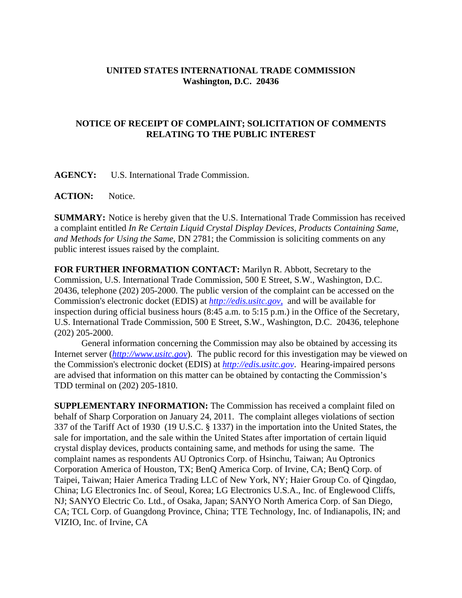## **UNITED STATES INTERNATIONAL TRADE COMMISSION Washington, D.C. 20436**

## **NOTICE OF RECEIPT OF COMPLAINT; SOLICITATION OF COMMENTS RELATING TO THE PUBLIC INTEREST**

**AGENCY:** U.S. International Trade Commission.

**ACTION:** Notice.

**SUMMARY:** Notice is hereby given that the U.S. International Trade Commission has received a complaint entitled *In Re Certain Liquid Crystal Display Devices, Products Containing Same*, *and Methods for Using the Same*, DN 2781; the Commission is soliciting comments on any public interest issues raised by the complaint.

**FOR FURTHER INFORMATION CONTACT:** Marilyn R. Abbott, Secretary to the Commission, U.S. International Trade Commission, 500 E Street, S.W., Washington, D.C. 20436, telephone (202) 205-2000. The public version of the complaint can be accessed on the Commission's electronic docket (EDIS) at *http://edis.usitc.gov*, and will be available for inspection during official business hours (8:45 a.m. to 5:15 p.m.) in the Office of the Secretary, U.S. International Trade Commission, 500 E Street, S.W., Washington, D.C. 20436, telephone (202) 205-2000.

General information concerning the Commission may also be obtained by accessing its Internet server (*http://www.usitc.gov*). The public record for this investigation may be viewed on the Commission's electronic docket (EDIS) at *http://edis.usitc.gov*. Hearing-impaired persons are advised that information on this matter can be obtained by contacting the Commission's TDD terminal on (202) 205-1810.

**SUPPLEMENTARY INFORMATION:** The Commission has received a complaint filed on behalf of Sharp Corporation on January 24, 2011. The complaint alleges violations of section 337 of the Tariff Act of 1930 (19 U.S.C. § 1337) in the importation into the United States, the sale for importation, and the sale within the United States after importation of certain liquid crystal display devices, products containing same, and methods for using the same. The complaint names as respondents AU Optronics Corp. of Hsinchu, Taiwan; Au Optronics Corporation America of Houston, TX; BenQ America Corp. of Irvine, CA; BenQ Corp. of Taipei, Taiwan; Haier America Trading LLC of New York, NY; Haier Group Co. of Qingdao, China; LG Electronics Inc. of Seoul, Korea; LG Electronics U.S.A., Inc. of Englewood Cliffs, NJ; SANYO Electric Co. Ltd., of Osaka, Japan; SANYO North America Corp. of San Diego, CA; TCL Corp. of Guangdong Province, China; TTE Technology, Inc. of Indianapolis, IN; and VIZIO, Inc. of Irvine, CA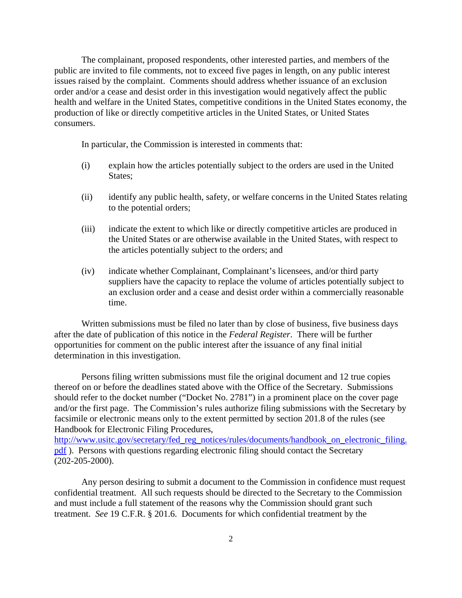The complainant, proposed respondents, other interested parties, and members of the public are invited to file comments, not to exceed five pages in length, on any public interest issues raised by the complaint. Comments should address whether issuance of an exclusion order and/or a cease and desist order in this investigation would negatively affect the public health and welfare in the United States, competitive conditions in the United States economy, the production of like or directly competitive articles in the United States, or United States consumers.

In particular, the Commission is interested in comments that:

- (i) explain how the articles potentially subject to the orders are used in the United States;
- (ii) identify any public health, safety, or welfare concerns in the United States relating to the potential orders;
- (iii) indicate the extent to which like or directly competitive articles are produced in the United States or are otherwise available in the United States, with respect to the articles potentially subject to the orders; and
- (iv) indicate whether Complainant, Complainant's licensees, and/or third party suppliers have the capacity to replace the volume of articles potentially subject to an exclusion order and a cease and desist order within a commercially reasonable time.

Written submissions must be filed no later than by close of business, five business days after the date of publication of this notice in the *Federal Register*. There will be further opportunities for comment on the public interest after the issuance of any final initial determination in this investigation.

Persons filing written submissions must file the original document and 12 true copies thereof on or before the deadlines stated above with the Office of the Secretary. Submissions should refer to the docket number ("Docket No. 2781") in a prominent place on the cover page and/or the first page. The Commission's rules authorize filing submissions with the Secretary by facsimile or electronic means only to the extent permitted by section 201.8 of the rules (see Handbook for Electronic Filing Procedures,

http://www.usitc.gov/secretary/fed\_reg\_notices/rules/documents/handbook\_on\_electronic\_filing. pdf ). Persons with questions regarding electronic filing should contact the Secretary (202-205-2000).

Any person desiring to submit a document to the Commission in confidence must request confidential treatment. All such requests should be directed to the Secretary to the Commission and must include a full statement of the reasons why the Commission should grant such treatment. *See* 19 C.F.R. § 201.6. Documents for which confidential treatment by the